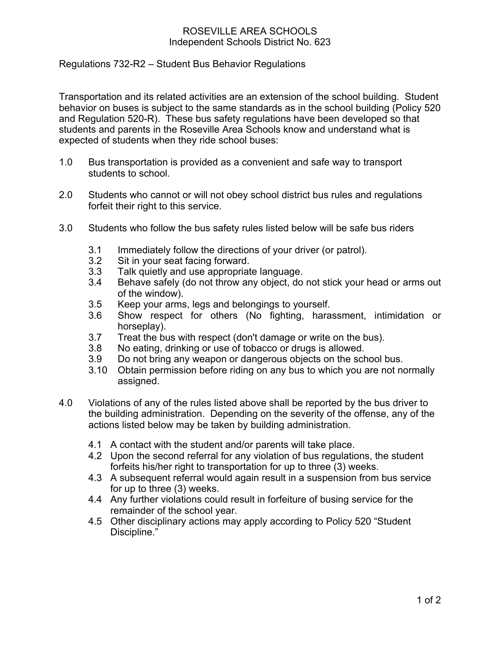## ROSEVILLE AREA SCHOOLS Independent Schools District No. 623

Regulations 732-R2 – Student Bus Behavior Regulations

Transportation and its related activities are an extension of the school building. Student behavior on buses is subject to the same standards as in the school building (Policy 520 and Regulation 520-R). These bus safety regulations have been developed so that students and parents in the Roseville Area Schools know and understand what is expected of students when they ride school buses:

- 1.0 Bus transportation is provided as a convenient and safe way to transport students to school.
- 2.0 Students who cannot or will not obey school district bus rules and regulations forfeit their right to this service.
- 3.0 Students who follow the bus safety rules listed below will be safe bus riders
	- 3.1 Immediately follow the directions of your driver (or patrol).<br>3.2 Sit in your seat facing forward.
	- Sit in your seat facing forward.
	- 3.3 Talk quietly and use appropriate language.
	- 3.4 Behave safely (do not throw any object, do not stick your head or arms out of the window).
	- 3.5 Keep your arms, legs and belongings to yourself.
	- 3.6 Show respect for others (No fighting, harassment, intimidation or horseplay).
	- 3.7 Treat the bus with respect (don't damage or write on the bus).
	- 3.8 No eating, drinking or use of tobacco or drugs is allowed.
	- 3.9 Do not bring any weapon or dangerous objects on the school bus.
	- 3.10 Obtain permission before riding on any bus to which you are not normally assigned.
- 4.0 Violations of any of the rules listed above shall be reported by the bus driver to the building administration. Depending on the severity of the offense, any of the actions listed below may be taken by building administration.
	- 4.1 A contact with the student and/or parents will take place.
	- 4.2 Upon the second referral for any violation of bus regulations, the student forfeits his/her right to transportation for up to three (3) weeks.
	- 4.3 A subsequent referral would again result in a suspension from bus service for up to three (3) weeks.
	- 4.4 Any further violations could result in forfeiture of busing service for the remainder of the school year.
	- 4.5 Other disciplinary actions may apply according to Policy 520 "Student Discipline."